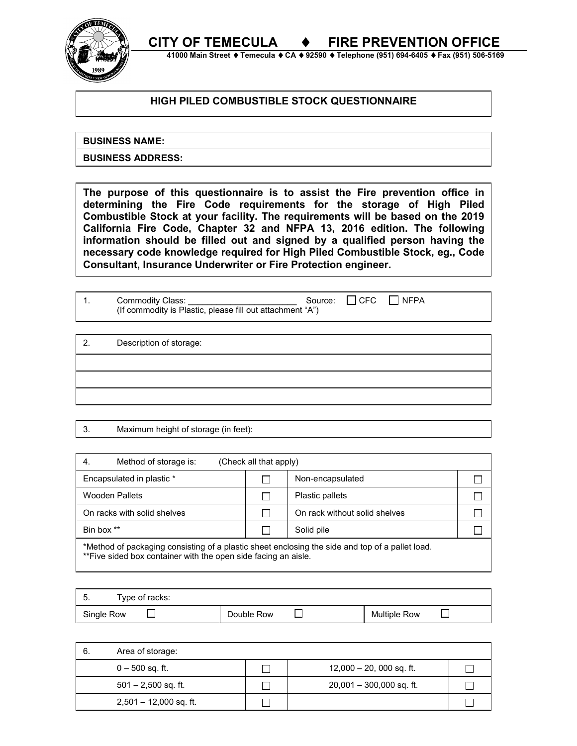**CITY OF TEMECULA** ♦ **FIRE PREVENTION OFFICE** 



 **41000 Main Street** ♦ **Temecula** ♦ **CA** ♦ **92590** ♦ **Telephone (951) 694-6405** ♦ **Fax (951) 506-5169**

## **HIGH PILED COMBUSTIBLE STOCK QUESTIONNAIRE**

**BUSINESS NAME:**

**BUSINESS ADDRESS:**

**The purpose of this questionnaire is to assist the Fire prevention office in determining the Fire Code requirements for the storage of High Piled Combustible Stock at your facility. The requirements will be based on the 2019 California Fire Code, Chapter 32 and NFPA 13, 2016 edition. The following information should be filled out and signed by a qualified person having the necessary code knowledge required for High Piled Combustible Stock, eg., Code Consultant, Insurance Underwriter or Fire Protection engineer.** 

| Commodity Class:                                          |  | Source: $\Box$ CFC $\Box$ NFPA |  |
|-----------------------------------------------------------|--|--------------------------------|--|
| (If commodity is Plastic, please fill out attachment "A") |  |                                |  |

2. Description of storage:

3. Maximum height of storage (in feet):

| Method of storage is:<br>-4.                                                                                                                                                    | (Check all that apply) |                               |  |  |  |  |
|---------------------------------------------------------------------------------------------------------------------------------------------------------------------------------|------------------------|-------------------------------|--|--|--|--|
| Encapsulated in plastic *                                                                                                                                                       |                        | Non-encapsulated              |  |  |  |  |
| <b>Wooden Pallets</b>                                                                                                                                                           |                        | Plastic pallets               |  |  |  |  |
| On racks with solid shelves                                                                                                                                                     |                        | On rack without solid shelves |  |  |  |  |
| Bin box **                                                                                                                                                                      |                        | Solid pile                    |  |  |  |  |
| *Method of packaging consisting of a plastic sheet enclosing the side and top of a pallet load.<br>**πbile of deal book counterbook and the color of deal footbook of the color |                        |                               |  |  |  |  |

\*\*Five sided box container with the open side facing an aisle.

| Type of racks:<br>. . |            |                     |
|-----------------------|------------|---------------------|
| Single Row            | Double Row | <b>Multiple Row</b> |

| -6. | Area of storage:         |                            |  |
|-----|--------------------------|----------------------------|--|
|     | $0 - 500$ sq. ft.        | $12,000 - 20,000$ sq. ft.  |  |
|     | $501 - 2,500$ sq. ft.    | $20,001 - 300,000$ sq. ft. |  |
|     | $2,501 - 12,000$ sq. ft. |                            |  |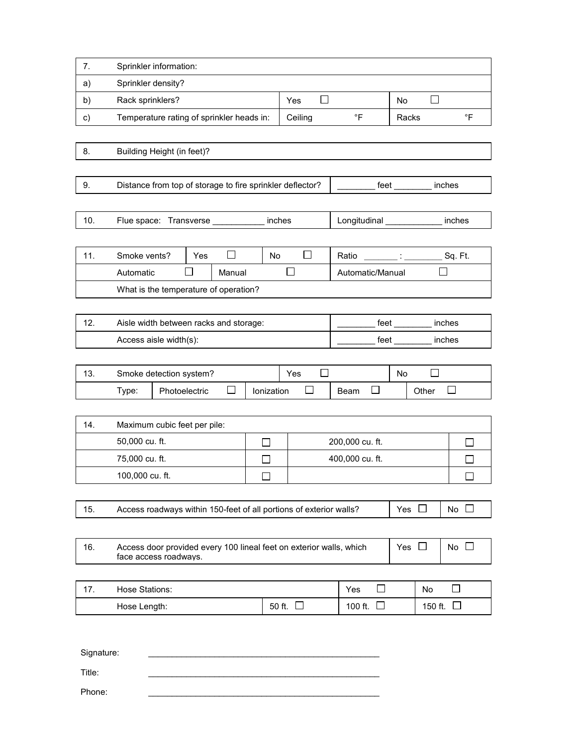| 7.  | Sprinkler information:                                                                       |                               |                       |                 |                                                                                                                          |            |                |              |
|-----|----------------------------------------------------------------------------------------------|-------------------------------|-----------------------|-----------------|--------------------------------------------------------------------------------------------------------------------------|------------|----------------|--------------|
| a)  | Sprinkler density?                                                                           |                               |                       |                 |                                                                                                                          |            |                |              |
| b)  | Rack sprinklers?                                                                             |                               | $\blacksquare$<br>Yes |                 | <b>No</b>                                                                                                                |            |                |              |
| c)  | Temperature rating of sprinkler heads in:                                                    |                               |                       | Ceiling         | $\circ$ F                                                                                                                | Racks      |                | $\circ$ F    |
|     |                                                                                              |                               |                       |                 |                                                                                                                          |            |                |              |
| 8.  | Building Height (in feet)?                                                                   |                               |                       |                 |                                                                                                                          |            |                |              |
|     |                                                                                              |                               |                       |                 |                                                                                                                          |            |                |              |
| 9.  | Distance from top of storage to fire sprinkler deflector?                                    |                               |                       |                 | feet to the state of the state of the state of the state of the state of the state of the state of the state o<br>inches |            |                |              |
|     |                                                                                              |                               |                       |                 |                                                                                                                          |            |                |              |
| 10. | Flue space: Transverse ______                                                                |                               |                       | inches          | Longitudinal                                                                                                             |            |                | inches       |
|     |                                                                                              |                               |                       |                 |                                                                                                                          |            |                |              |
| 11. | Smoke vents?                                                                                 | П<br>Yes                      | <b>No</b>             | $\mathsf{L}$    | Ratio                                                                                                                    |            |                | Sq. Ft.      |
|     | Automatic                                                                                    | Manual                        |                       | $\Box$          | Automatic/Manual                                                                                                         |            |                |              |
|     | What is the temperature of operation?                                                        |                               |                       |                 |                                                                                                                          |            |                |              |
|     |                                                                                              |                               |                       |                 |                                                                                                                          |            |                |              |
| 12. | Aisle width between racks and storage:                                                       |                               |                       | feet            |                                                                                                                          | inches     |                |              |
|     | Access aisle width(s):                                                                       |                               | feet                  |                 |                                                                                                                          | inches     |                |              |
|     |                                                                                              |                               |                       |                 |                                                                                                                          |            |                |              |
| 13. | Smoke detection system?                                                                      |                               |                       | $\Box$<br>Yes   |                                                                                                                          | <b>No</b>  |                |              |
|     | Type:                                                                                        | Photoelectric<br>$\mathsf{L}$ | Ionization            | ΙI              | $\mathcal{L}$<br>Beam                                                                                                    |            | Other          | $\mathsf{L}$ |
|     |                                                                                              |                               |                       |                 |                                                                                                                          |            |                |              |
| 14. | Maximum cubic feet per pile:                                                                 |                               |                       |                 |                                                                                                                          |            |                |              |
|     | 50,000 cu. ft.                                                                               |                               | $\Box$                | 200,000 cu. ft. |                                                                                                                          |            |                | $\mathsf{L}$ |
|     | 75,000 cu. ft.                                                                               |                               | L                     |                 | 400,000 cu. ft.                                                                                                          |            |                |              |
|     | 100,000 cu. ft.                                                                              |                               |                       |                 |                                                                                                                          |            |                |              |
|     |                                                                                              |                               |                       |                 |                                                                                                                          |            |                |              |
| 15. | Access roadways within 150-feet of all portions of exterior walls?                           |                               |                       |                 |                                                                                                                          | Yes $\Box$ |                | No $\square$ |
|     |                                                                                              |                               |                       |                 |                                                                                                                          |            |                |              |
| 16. | Access door provided every 100 lineal feet on exterior walls, which<br>face access roadways. |                               |                       |                 |                                                                                                                          | Yes $\Box$ |                | No $\square$ |
|     |                                                                                              |                               |                       |                 |                                                                                                                          |            |                |              |
| 17. | Hose Stations:                                                                               |                               |                       |                 | $\Box$<br>Yes<br>No                                                                                                      |            | ΙI             |              |
|     | Hose Length:                                                                                 |                               |                       | 50 ft. $\Box$   | 100 ft.<br>$\Box$                                                                                                        |            | 150 ft. $\Box$ |              |
|     |                                                                                              |                               |                       |                 |                                                                                                                          |            |                |              |

Signature:

Title: \_\_\_\_\_\_\_\_\_\_\_\_\_\_\_\_\_\_\_\_\_\_\_\_\_\_\_\_\_\_\_\_\_\_\_\_\_\_\_\_\_\_\_\_\_\_\_\_\_

Phone: \_\_\_\_\_\_\_\_\_\_\_\_\_\_\_\_\_\_\_\_\_\_\_\_\_\_\_\_\_\_\_\_\_\_\_\_\_\_\_\_\_\_\_\_\_\_\_\_\_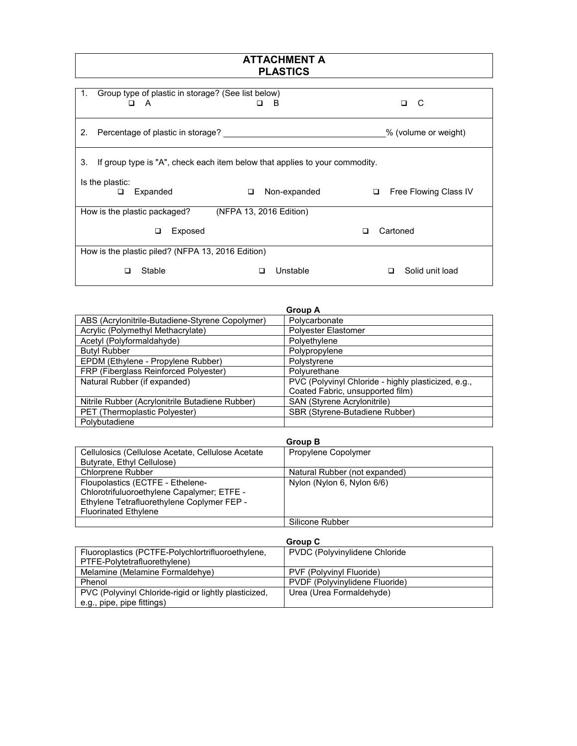## **ATTACHMENT A PLASTICS**

| 1.<br>□                                           | Group type of plastic in storage? (See list below)<br>A                     |   | в                       |   |          | C<br>◻                |
|---------------------------------------------------|-----------------------------------------------------------------------------|---|-------------------------|---|----------|-----------------------|
|                                                   |                                                                             |   |                         |   |          |                       |
| 2.                                                | Percentage of plastic in storage?                                           |   |                         |   |          | % (volume or weight)  |
| 3.                                                | If group type is "A", check each item below that applies to your commodity. |   |                         |   |          |                       |
| Is the plastic:                                   |                                                                             |   |                         |   |          |                       |
| ◻                                                 | Expanded                                                                    | □ | Non-expanded            | □ |          | Free Flowing Class IV |
|                                                   | How is the plastic packaged?                                                |   | (NFPA 13, 2016 Edition) |   |          |                       |
|                                                   | Exposed<br>◻                                                                |   |                         | П | Cartoned |                       |
| How is the plastic piled? (NFPA 13, 2016 Edition) |                                                                             |   |                         |   |          |                       |
| □                                                 | Stable                                                                      | ◻ | Unstable                |   | □        | Solid unit load       |

|                                                 | <b>Group A</b>                                      |
|-------------------------------------------------|-----------------------------------------------------|
| ABS (Acrylonitrile-Butadiene-Styrene Copolymer) | Polycarbonate                                       |
| Acrylic (Polymethyl Methacrylate)               | Polyester Elastomer                                 |
| Acetyl (Polyformaldahyde)                       | Polyethylene                                        |
| <b>Butyl Rubber</b>                             | Polypropylene                                       |
| EPDM (Ethylene - Propylene Rubber)              | Polystyrene                                         |
| FRP (Fiberglass Reinforced Polyester)           | Polyurethane                                        |
| Natural Rubber (if expanded)                    | PVC (Polyvinyl Chloride - highly plasticized, e.g., |
|                                                 | Coated Fabric, unsupported film)                    |
| Nitrile Rubber (Acrylonitrile Butadiene Rubber) | SAN (Styrene Acrylonitrile)                         |
| PET (Thermoplastic Polyester)                   | SBR (Styrene-Butadiene Rubber)                      |
| Polybutadiene                                   |                                                     |

|                                                   | <b>Group B</b>                |
|---------------------------------------------------|-------------------------------|
| Cellulosics (Cellulose Acetate, Cellulose Acetate | Propylene Copolymer           |
| Butyrate, Ethyl Cellulose)                        |                               |
| <b>Chlorprene Rubber</b>                          | Natural Rubber (not expanded) |
| Floupolastics (ECTFE - Ethelene-                  | Nylon (Nylon 6, Nylon 6/6)    |
| Chlorotrifuluoroethylene Capalymer; ETFE -        |                               |
| Ethylene Tetrafluorethylene Coplymer FEP -        |                               |
| <b>Fluorinated Ethylene</b>                       |                               |
|                                                   | Silicone Rubber               |

|                                                       | Group C                               |
|-------------------------------------------------------|---------------------------------------|
| Fluoroplastics (PCTFE-Polychlortrifluoroethylene,     | <b>PVDC (Polyvinylidene Chloride)</b> |
| PTFE-Polytetrafluorethylene)                          |                                       |
| Melamine (Melamine Formaldehve)                       | PVF (Polyvinyl Fluoride)              |
| Phenol                                                | PVDF (Polyvinvlidene Fluoride)        |
| PVC (Polyvinyl Chloride-rigid or lightly plasticized, | Urea (Urea Formaldehyde)              |
| e.g., pipe, pipe fittings)                            |                                       |